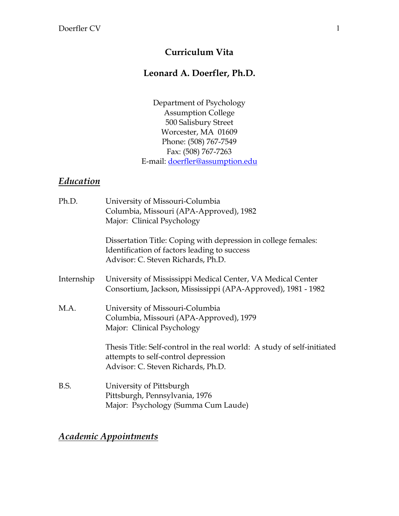# **Curriculum Vita**

# **Leonard A. Doerfler, Ph.D.**

Department of Psychology Assumption College 500 Salisbury Street Worcester, MA 01609 Phone: (508) 767-7549 Fax: (508) 767-7263 E-mail: [doerfler@assumption.edu](mailto:doerfler@assumption.edu)

# *Education*

| Ph.D.      | University of Missouri-Columbia<br>Columbia, Missouri (APA-Approved), 1982<br>Major: Clinical Psychology                                             |
|------------|------------------------------------------------------------------------------------------------------------------------------------------------------|
|            | Dissertation Title: Coping with depression in college females:<br>Identification of factors leading to success<br>Advisor: C. Steven Richards, Ph.D. |
| Internship | University of Mississippi Medical Center, VA Medical Center<br>Consortium, Jackson, Mississippi (APA-Approved), 1981 - 1982                          |
| M.A.       | University of Missouri-Columbia<br>Columbia, Missouri (APA-Approved), 1979<br>Major: Clinical Psychology                                             |
|            | Thesis Title: Self-control in the real world: A study of self-initiated<br>attempts to self-control depression<br>Advisor: C. Steven Richards, Ph.D. |
| B.S.       | University of Pittsburgh<br>Pittsburgh, Pennsylvania, 1976<br>Major: Psychology (Summa Cum Laude)                                                    |

# *Academic Appointments*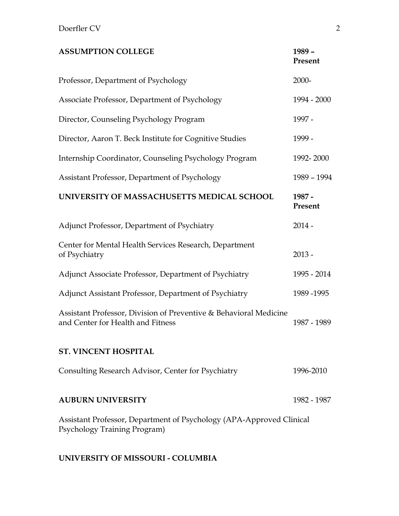| <b>ASSUMPTION COLLEGE</b>                                                                              | $1989 -$<br>Present |
|--------------------------------------------------------------------------------------------------------|---------------------|
| Professor, Department of Psychology                                                                    | 2000-               |
| Associate Professor, Department of Psychology                                                          | 1994 - 2000         |
| Director, Counseling Psychology Program                                                                | 1997 -              |
| Director, Aaron T. Beck Institute for Cognitive Studies                                                | 1999 -              |
| Internship Coordinator, Counseling Psychology Program                                                  | 1992-2000           |
| Assistant Professor, Department of Psychology                                                          | 1989 - 1994         |
| UNIVERSITY OF MASSACHUSETTS MEDICAL SCHOOL                                                             | 1987 -<br>Present   |
| Adjunct Professor, Department of Psychiatry                                                            | $2014 -$            |
| Center for Mental Health Services Research, Department<br>of Psychiatry                                | $2013 -$            |
| Adjunct Associate Professor, Department of Psychiatry                                                  | 1995 - 2014         |
| Adjunct Assistant Professor, Department of Psychiatry                                                  | 1989-1995           |
| Assistant Professor, Division of Preventive & Behavioral Medicine<br>and Center for Health and Fitness | 1987 - 1989         |
| <b>ST. VINCENT HOSPITAL</b>                                                                            |                     |
| Consulting Research Advisor, Center for Psychiatry                                                     | 1996-2010           |
| <b>AUBURN UNIVERSITY</b>                                                                               | 1982 - 1987         |
| Assistant Professor, Department of Psychology (APA-Approved Clinical<br>Psychology Training Program)   |                     |

# **UNIVERSITY OF MISSOURI - COLUMBIA**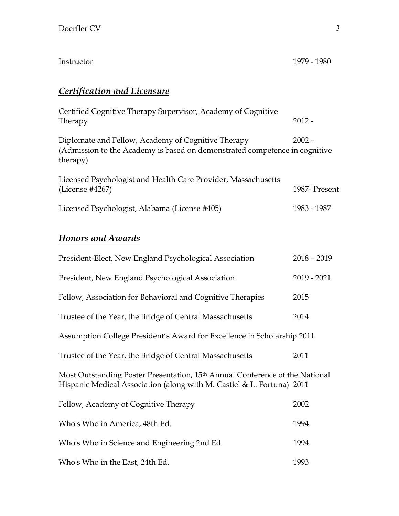| Instructor                                                   | 1979 - 1980 |
|--------------------------------------------------------------|-------------|
|                                                              |             |
| <b>Certification and Licensure</b>                           |             |
| Certified Cognitive Therapy Supervisor, Academy of Cognitive |             |
| Therapy                                                      | 2012 -      |

Diplomate and Fellow, Academy of Cognitive Therapy 2002 – (Admission to the Academy is based on demonstrated competence in cognitive therapy)

| Licensed Psychologist and Health Care Provider, Massachusetts |               |
|---------------------------------------------------------------|---------------|
| (License #4267)                                               | 1987- Present |
|                                                               |               |
| Licensed Psychologist, Alabama (License #405)                 | 1983 - 1987   |

# *Honors and Awards*

| President-Elect, New England Psychological Association                                                                                                 | $2018 - 2019$ |
|--------------------------------------------------------------------------------------------------------------------------------------------------------|---------------|
| President, New England Psychological Association                                                                                                       | $2019 - 2021$ |
| Fellow, Association for Behavioral and Cognitive Therapies                                                                                             | 2015          |
| Trustee of the Year, the Bridge of Central Massachusetts                                                                                               | 2014          |
| Assumption College President's Award for Excellence in Scholarship 2011                                                                                |               |
| Trustee of the Year, the Bridge of Central Massachusetts                                                                                               | 2011          |
| Most Outstanding Poster Presentation, 15th Annual Conference of the National<br>Hispanic Medical Association (along with M. Castiel & L. Fortuna) 2011 |               |
| Fellow, Academy of Cognitive Therapy                                                                                                                   | 2002          |
| Who's Who in America, 48th Ed.                                                                                                                         | 1994          |
| Who's Who in Science and Engineering 2nd Ed.                                                                                                           | 1994          |
| Who's Who in the East, 24th Ed.                                                                                                                        | 1993          |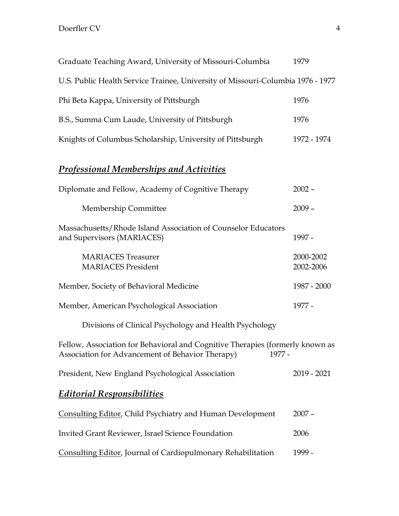| Graduate Teaching Award, University of Missouri-Columbia                                                                                    | 1979                   |
|---------------------------------------------------------------------------------------------------------------------------------------------|------------------------|
| U.S. Public Health Service Trainee, University of Missouri-Columbia 1976 - 1977                                                             |                        |
| Phi Beta Kappa, University of Pittsburgh                                                                                                    | 1976                   |
| B.S., Summa Cum Laude, University of Pittsburgh                                                                                             | 1976                   |
| Knights of Columbus Scholarship, University of Pittsburgh                                                                                   | 1972 - 1974            |
| <b>Professional Memberships and Activities</b>                                                                                              |                        |
| Diplomate and Fellow, Academy of Cognitive Therapy                                                                                          | $2002 -$               |
| Membership Committee                                                                                                                        | $2009 -$               |
| Massachusetts/Rhode Island Association of Counselor Educators<br>and Supervisors (MARIACES)                                                 | 1997 -                 |
| <b>MARIACES Treasurer</b><br><b>MARIACES</b> President                                                                                      | 2000-2002<br>2002-2006 |
| Member, Society of Behavioral Medicine                                                                                                      | 1987 - 2000            |
| Member, American Psychological Association                                                                                                  | 1977 -                 |
| Divisions of Clinical Psychology and Health Psychology                                                                                      |                        |
| Fellow, Association for Behavioral and Cognitive Therapies (formerly known as<br>Association for Advancement of Behavior Therapy)<br>1977 - |                        |
| President, New England Psychological Association                                                                                            | $2019 - 2021$          |
| <b>Editorial Responsibilities</b>                                                                                                           |                        |
| <b>Consulting Editor, Child Psychiatry and Human Development</b>                                                                            | $2007 -$               |
| Invited Grant Reviewer, Israel Science Foundation                                                                                           | 2006                   |
| Consulting Editor, Journal of Cardiopulmonary Rehabilitation                                                                                | 1999 -                 |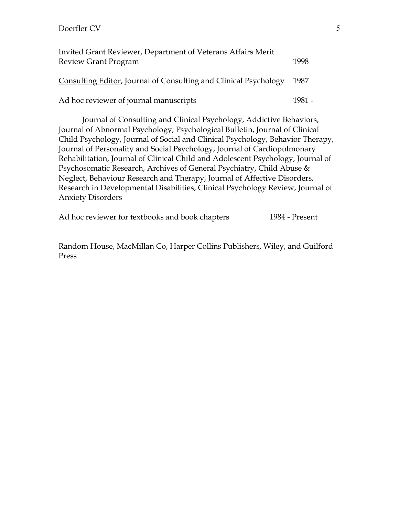| Invited Grant Reviewer, Department of Veterans Affairs Merit     |        |
|------------------------------------------------------------------|--------|
| Review Grant Program                                             | 1998   |
|                                                                  |        |
| Consulting Editor, Journal of Consulting and Clinical Psychology | 1987   |
|                                                                  | 1981 - |
| Ad hoc reviewer of journal manuscripts                           |        |

Journal of Consulting and Clinical Psychology, Addictive Behaviors, Journal of Abnormal Psychology, Psychological Bulletin, Journal of Clinical Child Psychology, Journal of Social and Clinical Psychology, Behavior Therapy, Journal of Personality and Social Psychology, Journal of Cardiopulmonary Rehabilitation, Journal of Clinical Child and Adolescent Psychology, Journal of Psychosomatic Research, Archives of General Psychiatry, Child Abuse & Neglect, Behaviour Research and Therapy, Journal of Affective Disorders, Research in Developmental Disabilities, Clinical Psychology Review, Journal of Anxiety Disorders

Ad hoc reviewer for textbooks and book chapters 1984 - Present

Random House, MacMillan Co, Harper Collins Publishers, Wiley, and Guilford Press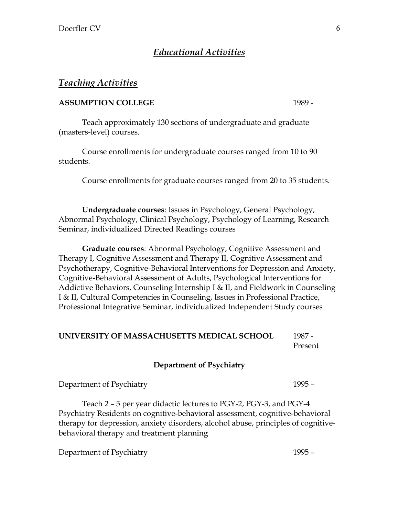### *Educational Activities*

### *Teaching Activities*

#### **ASSUMPTION COLLEGE** 2989 -

Teach approximately 130 sections of undergraduate and graduate (masters-level) courses.

Course enrollments for undergraduate courses ranged from 10 to 90 students.

Course enrollments for graduate courses ranged from 20 to 35 students.

**Undergraduate courses**: Issues in Psychology, General Psychology, Abnormal Psychology, Clinical Psychology, Psychology of Learning, Research Seminar, individualized Directed Readings courses

**Graduate courses**: Abnormal Psychology, Cognitive Assessment and Therapy I, Cognitive Assessment and Therapy II, Cognitive Assessment and Psychotherapy, Cognitive-Behavioral Interventions for Depression and Anxiety, Cognitive-Behavioral Assessment of Adults, Psychological Interventions for Addictive Behaviors, Counseling Internship I & II, and Fieldwork in Counseling I & II, Cultural Competencies in Counseling, Issues in Professional Practice, Professional Integrative Seminar, individualized Independent Study courses

#### **UNIVERSITY OF MASSACHUSETTS MEDICAL SCHOOL** 1987 - Present

#### **Department of Psychiatry**

Department of Psychiatry 1995 –

Teach 2 – 5 per year didactic lectures to PGY-2, PGY-3, and PGY-4 Psychiatry Residents on cognitive-behavioral assessment, cognitive-behavioral therapy for depression, anxiety disorders, alcohol abuse, principles of cognitivebehavioral therapy and treatment planning

Department of Psychiatry 1995 –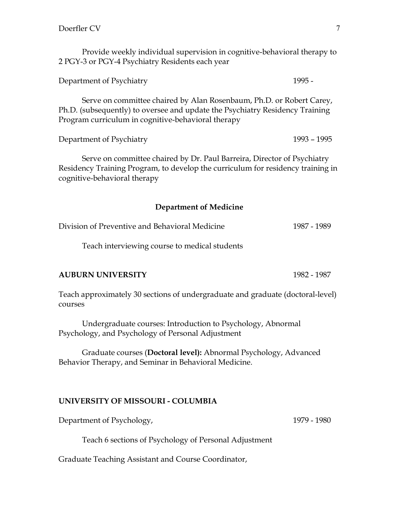Provide weekly individual supervision in cognitive-behavioral therapy to 2 PGY-3 or PGY-4 Psychiatry Residents each year

Department of Psychiatry 1995 -Serve on committee chaired by Alan Rosenbaum, Ph.D. or Robert Carey, Ph.D. (subsequently) to oversee and update the Psychiatry Residency Training Program curriculum in cognitive-behavioral therapy

| Department of Psychiatry | 1993 - 1995 |
|--------------------------|-------------|
|--------------------------|-------------|

Serve on committee chaired by Dr. Paul Barreira, Director of Psychiatry Residency Training Program, to develop the curriculum for residency training in cognitive-behavioral therapy

#### **Department of Medicine**

| Division of Preventive and Behavioral Medicine | 1987 - 1989 |  |
|------------------------------------------------|-------------|--|
|                                                |             |  |

Teach interviewing course to medical students

#### **AUBURN UNIVERSITY** 1982 - 1987

Teach approximately 30 sections of undergraduate and graduate (doctoral-level) courses

Undergraduate courses: Introduction to Psychology, Abnormal Psychology, and Psychology of Personal Adjustment

Graduate courses (**Doctoral level):** Abnormal Psychology, Advanced Behavior Therapy, and Seminar in Behavioral Medicine.

### **UNIVERSITY OF MISSOURI - COLUMBIA**

Department of Psychology, 1979 - 1980

Teach 6 sections of Psychology of Personal Adjustment

Graduate Teaching Assistant and Course Coordinator,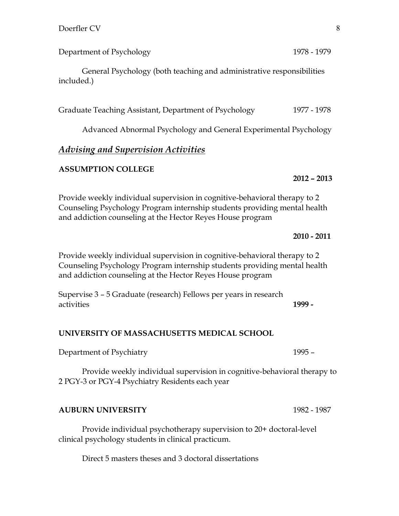Department of Psychology 1978 - 1979

General Psychology (both teaching and administrative responsibilities included.)

Graduate Teaching Assistant, Department of Psychology 1977 - 1978

Advanced Abnormal Psychology and General Experimental Psychology

### *Advising and Supervision Activities*

### **ASSUMPTION COLLEGE**

Provide weekly individual supervision in cognitive-behavioral therapy to 2 Counseling Psychology Program internship students providing mental health and addiction counseling at the Hector Reyes House program

### **2010 - 2011**

**2012 – 2013**

Provide weekly individual supervision in cognitive-behavioral therapy to 2 Counseling Psychology Program internship students providing mental health and addiction counseling at the Hector Reyes House program

Supervise 3 – 5 Graduate (research) Fellows per years in research activities **1999 -**

### **UNIVERSITY OF MASSACHUSETTS MEDICAL SCHOOL**

Department of Psychiatry 1995 –

Provide weekly individual supervision in cognitive-behavioral therapy to 2 PGY-3 or PGY-4 Psychiatry Residents each year

### **AUBURN UNIVERSITY** 1982 - 1987

Provide individual psychotherapy supervision to 20+ doctoral-level clinical psychology students in clinical practicum.

Direct 5 masters theses and 3 doctoral dissertations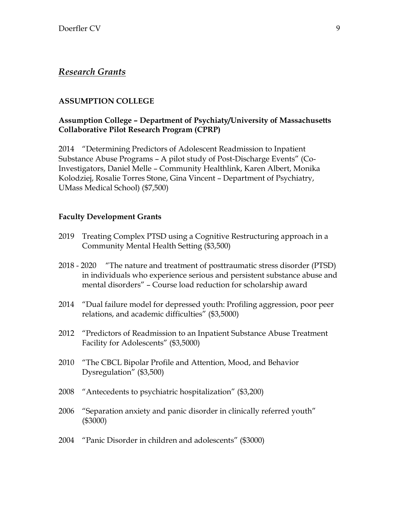### *Research Grants*

### **ASSUMPTION COLLEGE**

### **Assumption College – Department of Psychiaty/University of Massachusetts Collaborative Pilot Research Program (CPRP)**

2014 "Determining Predictors of Adolescent Readmission to Inpatient Substance Abuse Programs – A pilot study of Post-Discharge Events" (Co-Investigators, Daniel Melle – Community Healthlink, Karen Albert, Monika Kolodziej, Rosalie Torres Stone, Gina Vincent – Department of Psychiatry, UMass Medical School) (\$7,500)

#### **Faculty Development Grants**

- 2019 Treating Complex PTSD using a Cognitive Restructuring approach in a Community Mental Health Setting (\$3,500)
- 2018 2020 "The nature and treatment of posttraumatic stress disorder (PTSD) in individuals who experience serious and persistent substance abuse and mental disorders" – Course load reduction for scholarship award
- 2014 "Dual failure model for depressed youth: Profiling aggression, poor peer relations, and academic difficulties" (\$3,5000)
- 2012 "Predictors of Readmission to an Inpatient Substance Abuse Treatment Facility for Adolescents" (\$3,5000)
- 2010 "The CBCL Bipolar Profile and Attention, Mood, and Behavior Dysregulation" (\$3,500)
- 2008 "Antecedents to psychiatric hospitalization" (\$3,200)
- 2006 "Separation anxiety and panic disorder in clinically referred youth" (\$3000)
- 2004 "Panic Disorder in children and adolescents" (\$3000)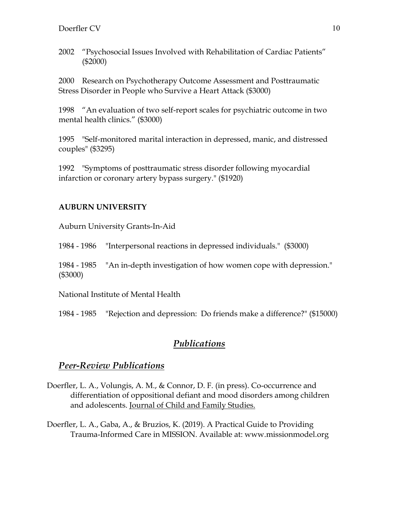2002 "Psychosocial Issues Involved with Rehabilitation of Cardiac Patients" (\$2000)

2000 Research on Psychotherapy Outcome Assessment and Posttraumatic Stress Disorder in People who Survive a Heart Attack (\$3000)

1998 "An evaluation of two self-report scales for psychiatric outcome in two mental health clinics." (\$3000)

1995 "Self-monitored marital interaction in depressed, manic, and distressed couples" (\$3295)

1992 "Symptoms of posttraumatic stress disorder following myocardial infarction or coronary artery bypass surgery." (\$1920)

### **AUBURN UNIVERSITY**

Auburn University Grants-In-Aid

1984 - 1986 "Interpersonal reactions in depressed individuals." (\$3000)

1984 - 1985 "An in-depth investigation of how women cope with depression." (\$3000)

National Institute of Mental Health

1984 - 1985 "Rejection and depression: Do friends make a difference?" (\$15000)

# *Publications*

# *Peer-Review Publications*

- Doerfler, L. A., Volungis, A. M., & Connor, D. F. (in press). Co-occurrence and differentiation of oppositional defiant and mood disorders among children and adolescents. Journal of Child and Family Studies.
- Doerfler, L. A., Gaba, A., & Bruzios, K. (2019). A Practical Guide to Providing Trauma-Informed Care in MISSION. Available at: www.missionmodel.org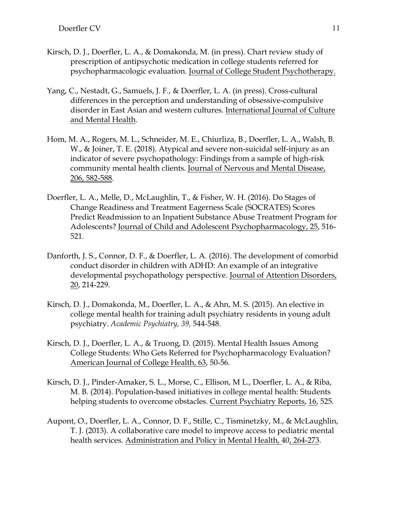- Kirsch, D. J., Doerfler, L. A., & Domakonda, M. (in press). Chart review study of prescription of antipsychotic medication in college students referred for psychopharmacologic evaluation. Journal of College Student Psychotherapy.
- Yang, C., Nestadt, G., Samuels, J. F., & Doerfler, L. A. (in press). Cross-cultural differences in the perception and understanding of obsessive-compulsive disorder in East Asian and western cultures. International Journal of Culture and Mental Health.
- Hom, M. A., Rogers, M. L., Schneider, M. E., Chiurliza, B., Doerfler, L. A., Walsh, B. W., & Joiner, T. E. (2018). Atypical and severe non-suicidal self-injury as an indicator of severe psychopathology: Findings from a sample of high-risk community mental health clients. Journal of Nervous and Mental Disease, 206, 582-588.
- Doerfler, L. A., Melle, D., McLaughlin, T., & Fisher, W. H. (2016). Do Stages of Change Readiness and Treatment Eagerness Scale (SOCRATES) Scores Predict Readmission to an Inpatient Substance Abuse Treatment Program for Adolescents? Journal of Child and Adolescent Psychopharmacology, 25, 516- 521.
- Danforth, J. S., Connor, D. F., & Doerfler, L. A. (2016). The development of comorbid conduct disorder in children with ADHD: An example of an integrative developmental psychopathology perspective. Journal of Attention Disorders, 20, 214-229.
- Kirsch, D. J., Domakonda, M., Doerfler, L. A., & Ahn, M. S. (2015). An elective in college mental health for training adult psychiatry residents in young adult psychiatry. *Academic Psychiatry, 39,* 544-548.
- Kirsch, D. J., Doerfler, L. A., & Truong, D. (2015). Mental Health Issues Among College Students: Who Gets Referred for Psychopharmacology Evaluation? American Journal of College Health, 63, 50-56.
- Kirsch, D. J., Pinder-Amaker, S. L., Morse, C., Ellison, M L., Doerfler, L. A., & Riba, M. B. (2014). Population-based initiatives in college mental health: Students helping students to overcome obstacles. Current Psychiatry Reports, 16, 525.
- Aupont, O., Doerfler, L. A., Connor, D. F., Stille, C., Tisminetzky, M., & McLaughlin, T. J. (2013). A collaborative care model to improve access to pediatric mental health services. Administration and Policy in Mental Health, 40, 264-273.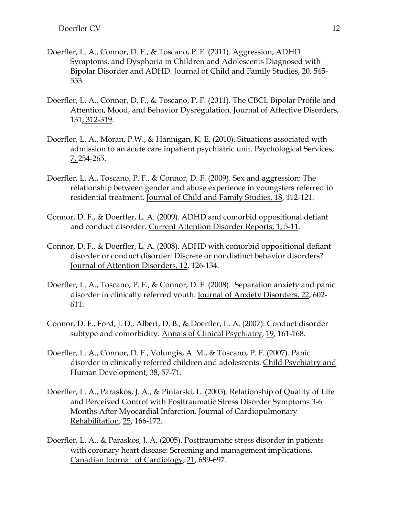- Doerfler, L. A., Connor, D. F., & Toscano, P. F. (2011). Aggression, ADHD Symptoms, and Dysphoria in Children and Adolescents Diagnosed with Bipolar Disorder and ADHD. Journal of Child and Family Studies, 20, 545- 553.
- Doerfler, L. A., Connor, D. F., & Toscano, P. F. (2011). The CBCL Bipolar Profile and Attention, Mood, and Behavior Dysregulation. Journal of Affective Disorders, 131, 312-319.
- Doerfler, L. A., Moran, P.W., & Hannigan, K. E. (2010). Situations associated with admission to an acute care inpatient psychiatric unit. Psychological Services, 7, 254-265.
- Doerfler, L. A., Toscano, P. F., & Connor, D. F. (2009). Sex and aggression: The relationship between gender and abuse experience in youngsters referred to residential treatment. Journal of Child and Family Studies, 18, 112-121.
- Connor, D. F., & Doerfler, L. A. (2009). ADHD and comorbid oppositional defiant and conduct disorder. Current Attention Disorder Reports, 1, 5-11.
- Connor, D. F., & Doerfler, L. A. (2008). ADHD with comorbid oppositional defiant disorder or conduct disorder: Discrete or nondistinct behavior disorders? Journal of Attention Disorders, 12, 126-134.
- Doerfler, L. A., Toscano, P. F., & Connor, D. F. (2008). Separation anxiety and panic disorder in clinically referred youth. Journal of Anxiety Disorders, 22, 602- 611.
- Connor, D. F., Ford, J. D., Albert, D. B., & Doerfler, L. A. (2007). Conduct disorder subtype and comorbidity. Annals of Clinical Psychiatry, 19, 161-168.
- Doerfler, L. A., Connor, D. F., Volungis, A. M., & Toscano, P. F. (2007). Panic disorder in clinically referred children and adolescents. Child Psychiatry and Human Development, 38, 57-71.
- Doerfler, L. A., Paraskos, J. A., & Piniarski, L. (2005). Relationship of Quality of Life and Perceived Control with Posttraumatic Stress Disorder Symptoms 3-6 Months After Myocardial Infarction. Journal of Cardiopulmonary Rehabilitation, 25, 166-172.
- Doerfler, L. A., & Paraskos, J. A. (2005). Posttraumatic stress disorder in patients with coronary heart disease: Screening and management implications. Canadian Journal of Cardiology, 21, 689-697.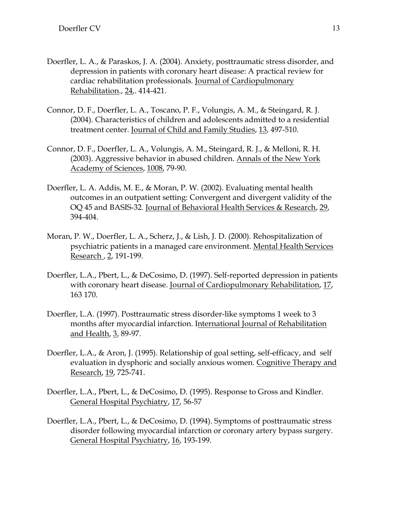- Doerfler, L. A., & Paraskos, J. A. (2004). Anxiety, posttraumatic stress disorder, and depression in patients with coronary heart disease: A practical review for cardiac rehabilitation professionals. Journal of Cardiopulmonary Rehabilitation., 24,. 414-421.
- Connor, D. F., Doerfler, L. A., Toscano, P. F., Volungis, A. M., & Steingard, R. J. (2004). Characteristics of children and adolescents admitted to a residential treatment center. Journal of Child and Family Studies, 13, 497-510.
- Connor, D. F., Doerfler, L. A., Volungis, A. M., Steingard, R. J., & Melloni, R. H. (2003). Aggressive behavior in abused children. Annals of the New York Academy of Sciences, 1008, 79-90.
- Doerfler, L. A. Addis, M. E., & Moran, P. W. (2002). Evaluating mental health outcomes in an outpatient setting: Convergent and divergent validity of the OQ 45 and BASIS-32. Journal of Behavioral Health Services & Research, 29, 394-404.
- Moran, P. W., Doerfler, L. A., Scherz, J., & Lish, J. D. (2000). Rehospitalization of psychiatric patients in a managed care environment. Mental Health Services Research , 2, 191-199.
- Doerfler, L.A., Pbert, L., & DeCosimo, D. (1997). Self-reported depression in patients with coronary heart disease. Journal of Cardiopulmonary Rehabilitation, 17, 163 170.
- Doerfler, L.A. (1997). Posttraumatic stress disorder-like symptoms 1 week to 3 months after myocardial infarction. International Journal of Rehabilitation and Health, 3, 89-97.
- Doerfler, L.A., & Aron, J. (1995). Relationship of goal setting, self-efficacy, and self evaluation in dysphoric and socially anxious women. Cognitive Therapy and Research, 19, 725-741.
- Doerfler, L.A., Pbert, L., & DeCosimo, D. (1995). Response to Gross and Kindler. General Hospital Psychiatry, 17, 56-57
- Doerfler, L.A., Pbert, L., & DeCosimo, D. (1994). Symptoms of posttraumatic stress disorder following myocardial infarction or coronary artery bypass surgery. General Hospital Psychiatry, 16, 193-199.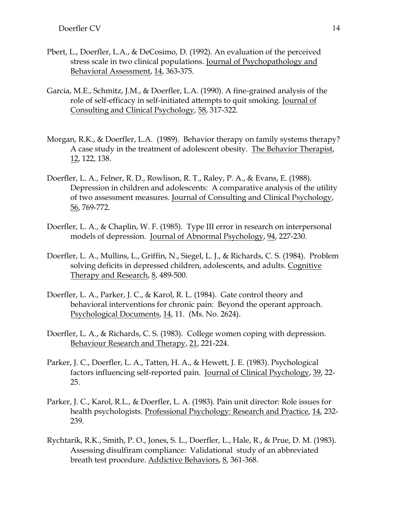- Pbert, L., Doerfler, L.A., & DeCosimo, D. (1992). An evaluation of the perceived stress scale in two clinical populations. Journal of Psychopathology and Behavioral Assessment, 14, 363-375.
- Garcia, M.E., Schmitz, J.M., & Doerfler, L.A. (1990). A fine-grained analysis of the role of self-efficacy in self-initiated attempts to quit smoking. Journal of Consulting and Clinical Psychology, 58, 317-322.
- Morgan, R.K., & Doerfler, L.A. (1989). Behavior therapy on family systems therapy? A case study in the treatment of adolescent obesity. The Behavior Therapist, 12, 122, 138.
- Doerfler, L. A., Felner, R. D., Rowlison, R. T., Raley, P. A., & Evans, E. (1988). Depression in children and adolescents: A comparative analysis of the utility of two assessment measures. Journal of Consulting and Clinical Psychology, 56, 769-772.
- Doerfler, L. A., & Chaplin, W. F. (1985). Type III error in research on interpersonal models of depression. Journal of Abnormal Psychology, 94, 227-230.
- Doerfler, L. A., Mullins, L., Griffin, N., Siegel, L. J., & Richards, C. S. (1984). Problem solving deficits in depressed children, adolescents, and adults. Cognitive Therapy and Research, 8, 489-500.
- Doerfler, L. A., Parker, J. C., & Karol, R. L. (1984). Gate control theory and behavioral interventions for chronic pain: Beyond the operant approach. Psychological Documents, 14, 11. (Ms. No. 2624).
- Doerfler, L. A., & Richards, C. S. (1983). College women coping with depression. Behaviour Research and Therapy, 21, 221-224.
- Parker, J. C., Doerfler, L. A., Tatten, H. A., & Hewett, J. E. (1983). Psychological factors influencing self-reported pain. Journal of Clinical Psychology, 39, 22- 25.
- Parker, J. C., Karol, R.L., & Doerfler, L. A. (1983). Pain unit director: Role issues for health psychologists. Professional Psychology: Research and Practice, 14, 232- 239.
- Rychtarik, R.K., Smith, P. O., Jones, S. L., Doerfler, L., Hale, R., & Prue, D. M. (1983). Assessing disulfiram compliance: Validational study of an abbreviated breath test procedure. Addictive Behaviors, 8, 361-368.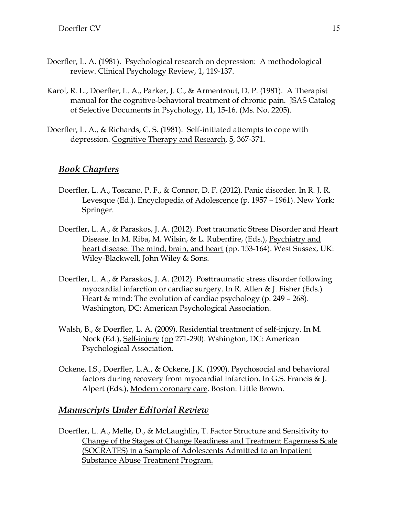- Doerfler, L. A. (1981). Psychological research on depression: A methodological review. Clinical Psychology Review, 1, 119-137.
- Karol, R. L., Doerfler, L. A., Parker, J. C., & Armentrout, D. P. (1981). A Therapist manual for the cognitive-behavioral treatment of chronic pain. JSAS Catalog of Selective Documents in Psychology, 11, 15-16. (Ms. No. 2205).
- Doerfler, L. A., & Richards, C. S. (1981). Self-initiated attempts to cope with depression. Cognitive Therapy and Research, 5, 367-371.

# *Book Chapters*

- Doerfler, L. A., Toscano, P. F., & Connor, D. F. (2012). Panic disorder. In R. J. R. Levesque (Ed.), Encyclopedia of Adolescence (p. 1957 – 1961). New York: Springer.
- Doerfler, L. A., & Paraskos, J. A. (2012). Post traumatic Stress Disorder and Heart Disease. In M. Riba, M. Wilsin, & L. Rubenfire, (Eds.), Psychiatry and heart disease: The mind, brain, and heart (pp. 153-164). West Sussex, UK: Wiley-Blackwell, John Wiley & Sons.
- Doerfler, L. A., & Paraskos, J. A. (2012). Posttraumatic stress disorder following myocardial infarction or cardiac surgery. In R. Allen & J. Fisher (Eds.) Heart & mind: The evolution of cardiac psychology (p. 249 – 268). Washington, DC: American Psychological Association.
- Walsh, B., & Doerfler, L. A. (2009). Residential treatment of self-injury. In M. Nock (Ed.), Self-injury (pp 271-290). Wshington, DC: American Psychological Association.
- Ockene, I.S., Doerfler, L.A., & Ockene, J.K. (1990). Psychosocial and behavioral factors during recovery from myocardial infarction. In G.S. Francis & J. Alpert (Eds.), Modern coronary care. Boston: Little Brown.

# *Manuscripts Under Editorial Review*

Doerfler, L. A., Melle, D., & McLaughlin, T. Factor Structure and Sensitivity to Change of the Stages of Change Readiness and Treatment Eagerness Scale (SOCRATES) in a Sample of Adolescents Admitted to an Inpatient Substance Abuse Treatment Program.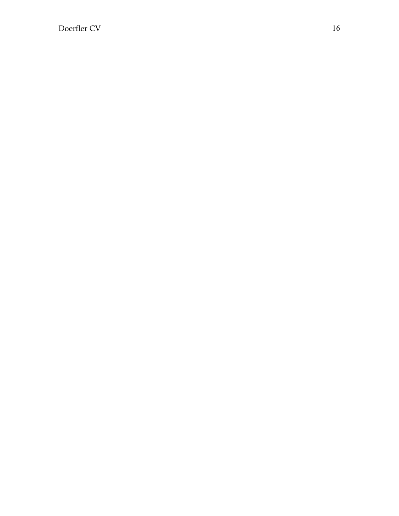Doerfler CV 16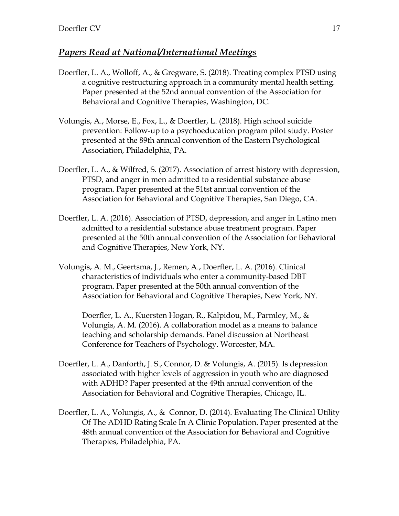# *Papers Read at National/International Meetings*

- Doerfler, L. A., Wolloff, A., & Gregware, S. (2018). Treating complex PTSD using a cognitive restructuring approach in a community mental health setting. Paper presented at the 52nd annual convention of the Association for Behavioral and Cognitive Therapies, Washington, DC.
- Volungis, A., Morse, E., Fox, L., & Doerfler, L. (2018). High school suicide prevention: Follow-up to a psychoeducation program pilot study. Poster presented at the 89th annual convention of the Eastern Psychological Association, Philadelphia, PA.
- Doerfler, L. A., & Wilfred, S. (2017). Association of arrest history with depression, PTSD, and anger in men admitted to a residential substance abuse program. Paper presented at the 51tst annual convention of the Association for Behavioral and Cognitive Therapies, San Diego, CA.
- Doerfler, L. A. (2016). Association of PTSD, depression, and anger in Latino men admitted to a residential substance abuse treatment program. Paper presented at the 50th annual convention of the Association for Behavioral and Cognitive Therapies, New York, NY.
- Volungis, A. M., Geertsma, J., Remen, A., Doerfler, L. A. (2016). Clinical characteristics of individuals who enter a community-based DBT program. Paper presented at the 50th annual convention of the Association for Behavioral and Cognitive Therapies, New York, NY.

Doerfler, L. A., Kuersten Hogan, R., Kalpidou, M., Parmley, M., & Volungis, A. M. (2016). A collaboration model as a means to balance teaching and scholarship demands. Panel discussion at Northeast Conference for Teachers of Psychology. Worcester, MA.

- Doerfler, L. A., Danforth, J. S., Connor, D. & Volungis, A. (2015). Is depression associated with higher levels of aggression in youth who are diagnosed with ADHD? Paper presented at the 49th annual convention of the Association for Behavioral and Cognitive Therapies, Chicago, IL.
- Doerfler, L. A., Volungis, A., & Connor, D. (2014). Evaluating The Clinical Utility Of The ADHD Rating Scale In A Clinic Population. Paper presented at the 48th annual convention of the Association for Behavioral and Cognitive Therapies, Philadelphia, PA.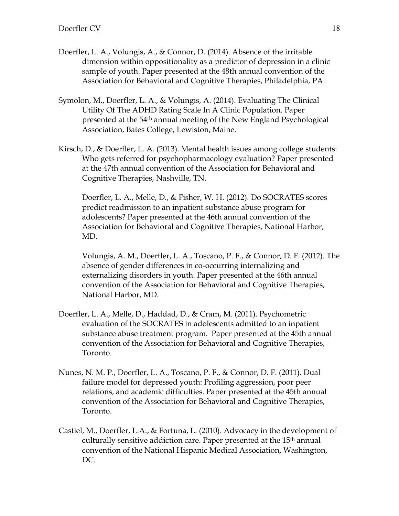- Doerfler, L. A., Volungis, A., & Connor, D. (2014). Absence of the irritable dimension within oppositionality as a predictor of depression in a clinic sample of youth. Paper presented at the 48th annual convention of the Association for Behavioral and Cognitive Therapies, Philadelphia, PA.
- Symolon, M., Doerfler, L. A., & Volungis, A. (2014). Evaluating The Clinical Utility Of The ADHD Rating Scale In A Clinic Population. Paper presented at the 54th annual meeting of the New England Psychological Association, Bates College, Lewiston, Maine.
- Kirsch, D., & Doerfler, L. A. (2013). Mental health issues among college students: Who gets referred for psychopharmacology evaluation? Paper presented at the 47th annual convention of the Association for Behavioral and Cognitive Therapies, Nashville, TN.

Doerfler, L. A., Melle, D., & Fisher, W. H. (2012). Do SOCRATES scores predict readmission to an inpatient substance abuse program for adolescents? Paper presented at the 46th annual convention of the Association for Behavioral and Cognitive Therapies, National Harbor, MD.

Volungis, A. M., Doerfler, L. A., Toscano, P. F., & Connor, D. F. (2012). The absence of gender differences in co-occurring internalizing and externalizing disorders in youth. Paper presented at the 46th annual convention of the Association for Behavioral and Cognitive Therapies, National Harbor, MD.

- Doerfler, L. A., Melle, D., Haddad, D., & Cram, M. (2011). Psychometric evaluation of the SOCRATES in adolescents admitted to an inpatient substance abuse treatment program. Paper presented at the 45th annual convention of the Association for Behavioral and Cognitive Therapies, Toronto.
- Nunes, N. M. P., Doerfler, L. A., Toscano, P. F., & Connor, D. F. (2011). Dual failure model for depressed youth: Profiling aggression, poor peer relations, and academic difficulties. Paper presented at the 45th annual convention of the Association for Behavioral and Cognitive Therapies, Toronto.
- Castiel, M., Doerfler, L.A., & Fortuna, L. (2010). Advocacy in the development of culturally sensitive addiction care. Paper presented at the 15th annual convention of the National Hispanic Medical Association, Washington, DC.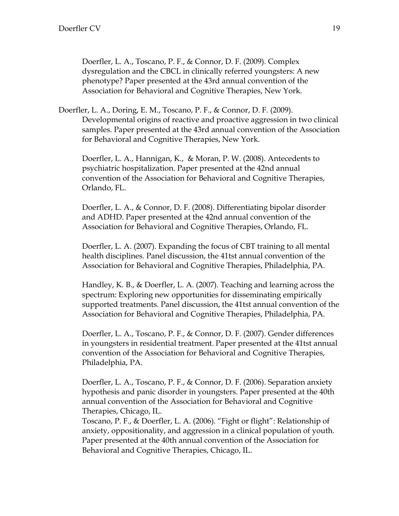Doerfler, L. A., Toscano, P. F., & Connor, D. F. (2009). Complex dysregulation and the CBCL in clinically referred youngsters: A new phenotype? Paper presented at the 43rd annual convention of the Association for Behavioral and Cognitive Therapies, New York.

Doerfler, L. A., Doring, E. M., Toscano, P. F., & Connor, D. F. (2009). Developmental origins of reactive and proactive aggression in two clinical samples. Paper presented at the 43rd annual convention of the Association for Behavioral and Cognitive Therapies, New York.

Doerfler, L. A., Hannigan, K., & Moran, P. W. (2008). Antecedents to psychiatric hospitalization. Paper presented at the 42nd annual convention of the Association for Behavioral and Cognitive Therapies, Orlando, FL.

Doerfler, L. A., & Connor, D. F. (2008). Differentiating bipolar disorder and ADHD. Paper presented at the 42nd annual convention of the Association for Behavioral and Cognitive Therapies, Orlando, FL.

Doerfler, L. A. (2007). Expanding the focus of CBT training to all mental health disciplines. Panel discussion, the 41tst annual convention of the Association for Behavioral and Cognitive Therapies, Philadelphia, PA.

Handley, K. B., & Doerfler, L. A. (2007). Teaching and learning across the spectrum: Exploring new opportunities for disseminating empirically supported treatments. Panel discussion, the 41tst annual convention of the Association for Behavioral and Cognitive Therapies, Philadelphia, PA.

Doerfler, L. A., Toscano, P. F., & Connor, D. F. (2007). Gender differences in youngsters in residential treatment. Paper presented at the 41tst annual convention of the Association for Behavioral and Cognitive Therapies, Philadelphia, PA.

Doerfler, L. A., Toscano, P. F., & Connor, D. F. (2006). Separation anxiety hypothesis and panic disorder in youngsters. Paper presented at the 40th annual convention of the Association for Behavioral and Cognitive Therapies, Chicago, IL.

Toscano, P. F., & Doerfler, L. A. (2006). "Fight or flight": Relationship of anxiety, oppositionality, and aggression in a clinical population of youth. Paper presented at the 40th annual convention of the Association for Behavioral and Cognitive Therapies, Chicago, IL.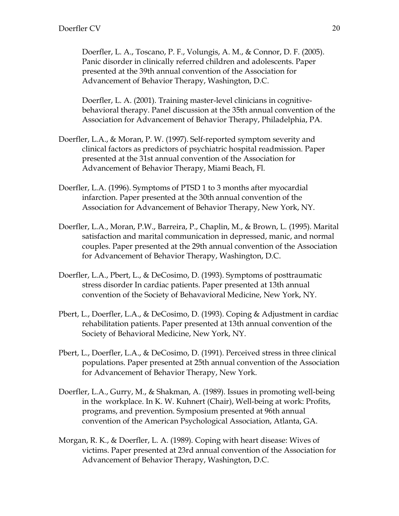Doerfler, L. A., Toscano, P. F., Volungis, A. M., & Connor, D. F. (2005). Panic disorder in clinically referred children and adolescents. Paper presented at the 39th annual convention of the Association for Advancement of Behavior Therapy, Washington, D.C.

Doerfler, L. A. (2001). Training master-level clinicians in cognitivebehavioral therapy. Panel discussion at the 35th annual convention of the Association for Advancement of Behavior Therapy, Philadelphia, PA.

- Doerfler, L.A., & Moran, P. W. (1997). Self-reported symptom severity and clinical factors as predictors of psychiatric hospital readmission. Paper presented at the 31st annual convention of the Association for Advancement of Behavior Therapy, Miami Beach, Fl.
- Doerfler, L.A. (1996). Symptoms of PTSD 1 to 3 months after myocardial infarction. Paper presented at the 30th annual convention of the Association for Advancement of Behavior Therapy, New York, NY.
- Doerfler, L.A., Moran, P.W., Barreira, P., Chaplin, M., & Brown, L. (1995). Marital satisfaction and marital communication in depressed, manic, and normal couples. Paper presented at the 29th annual convention of the Association for Advancement of Behavior Therapy, Washington, D.C.
- Doerfler, L.A., Pbert, L., & DeCosimo, D. (1993). Symptoms of posttraumatic stress disorder In cardiac patients. Paper presented at 13th annual convention of the Society of Behavavioral Medicine, New York, NY.
- Pbert, L., Doerfler, L.A., & DeCosimo, D. (1993). Coping & Adjustment in cardiac rehabilitation patients. Paper presented at 13th annual convention of the Society of Behavioral Medicine, New York, NY.
- Pbert, L., Doerfler, L.A., & DeCosimo, D. (1991). Perceived stress in three clinical populations. Paper presented at 25th annual convention of the Association for Advancement of Behavior Therapy, New York.
- Doerfler, L.A., Gurry, M., & Shakman, A. (1989). Issues in promoting well-being in the workplace. In K. W. Kuhnert (Chair), Well-being at work: Profits, programs, and prevention. Symposium presented at 96th annual convention of the American Psychological Association, Atlanta, GA.
- Morgan, R. K., & Doerfler, L. A. (1989). Coping with heart disease: Wives of victims. Paper presented at 23rd annual convention of the Association for Advancement of Behavior Therapy, Washington, D.C.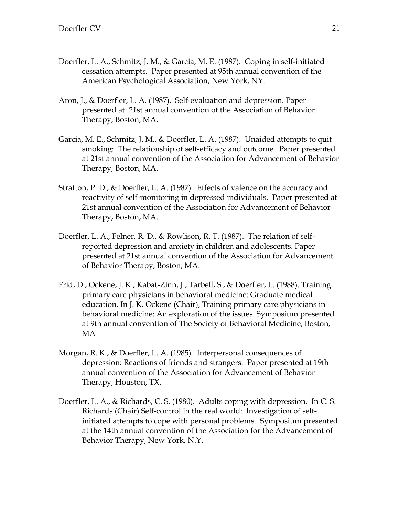- Doerfler, L. A., Schmitz, J. M., & Garcia, M. E. (1987). Coping in self-initiated cessation attempts. Paper presented at 95th annual convention of the American Psychological Association, New York, NY.
- Aron, J., & Doerfler, L. A. (1987). Self-evaluation and depression. Paper presented at 21st annual convention of the Association of Behavior Therapy, Boston, MA.
- Garcia, M. E., Schmitz, J. M., & Doerfler, L. A. (1987). Unaided attempts to quit smoking: The relationship of self-efficacy and outcome. Paper presented at 21st annual convention of the Association for Advancement of Behavior Therapy, Boston, MA.
- Stratton, P. D., & Doerfler, L. A. (1987). Effects of valence on the accuracy and reactivity of self-monitoring in depressed individuals. Paper presented at 21st annual convention of the Association for Advancement of Behavior Therapy, Boston, MA.
- Doerfler, L. A., Felner, R. D., & Rowlison, R. T. (1987). The relation of selfreported depression and anxiety in children and adolescents. Paper presented at 21st annual convention of the Association for Advancement of Behavior Therapy, Boston, MA.
- Frid, D., Ockene, J. K., Kabat-Zinn, J., Tarbell, S., & Doerfler, L. (1988). Training primary care physicians in behavioral medicine: Graduate medical education. In J. K. Ockene (Chair), Training primary care physicians in behavioral medicine: An exploration of the issues. Symposium presented at 9th annual convention of The Society of Behavioral Medicine, Boston, MA
- Morgan, R. K., & Doerfler, L. A. (1985). Interpersonal consequences of depression: Reactions of friends and strangers. Paper presented at 19th annual convention of the Association for Advancement of Behavior Therapy, Houston, TX.
- Doerfler, L. A., & Richards, C. S. (1980). Adults coping with depression. In C. S. Richards (Chair) Self-control in the real world: Investigation of selfinitiated attempts to cope with personal problems. Symposium presented at the 14th annual convention of the Association for the Advancement of Behavior Therapy, New York, N.Y.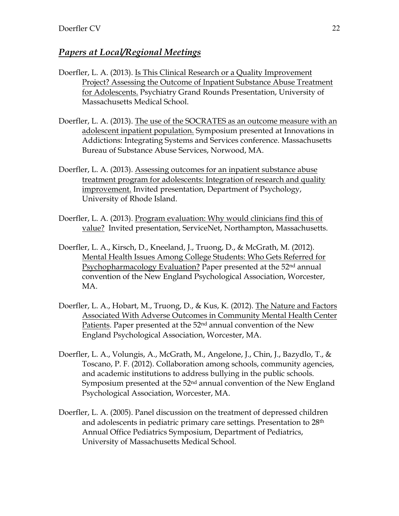# *Papers at Local/Regional Meetings*

- Doerfler, L. A. (2013). Is This Clinical Research or a Quality Improvement Project? Assessing the Outcome of Inpatient Substance Abuse Treatment for Adolescents. Psychiatry Grand Rounds Presentation, University of Massachusetts Medical School.
- Doerfler, L. A. (2013). The use of the SOCRATES as an outcome measure with an adolescent inpatient population. Symposium presented at Innovations in Addictions: Integrating Systems and Services conference. Massachusetts Bureau of Substance Abuse Services, Norwood, MA.
- Doerfler, L. A. (2013). Assessing outcomes for an inpatient substance abuse treatment program for adolescents: Integration of research and quality improvement. Invited presentation, Department of Psychology, University of Rhode Island.
- Doerfler, L. A. (2013). Program evaluation: Why would clinicians find this of value? Invited presentation, ServiceNet, Northampton, Massachusetts.
- Doerfler, L. A., Kirsch, D., Kneeland, J., Truong, D., & McGrath, M. (2012). Mental Health Issues Among College Students: Who Gets Referred for Psychopharmacology Evaluation? Paper presented at the 52nd annual convention of the New England Psychological Association, Worcester, MA.
- Doerfler, L. A., Hobart, M., Truong, D., & Kus, K. (2012). The Nature and Factors Associated With Adverse Outcomes in Community Mental Health Center Patients. Paper presented at the 52<sup>nd</sup> annual convention of the New England Psychological Association, Worcester, MA.
- Doerfler, L. A., Volungis, A., McGrath, M., Angelone, J., Chin, J., Bazydlo, T., & Toscano, P. F. (2012). Collaboration among schools, community agencies, and academic institutions to address bullying in the public schools. Symposium presented at the 52nd annual convention of the New England Psychological Association, Worcester, MA.
- Doerfler, L. A. (2005). Panel discussion on the treatment of depressed children and adolescents in pediatric primary care settings. Presentation to 28th Annual Office Pediatrics Symposium, Department of Pediatrics, University of Massachusetts Medical School.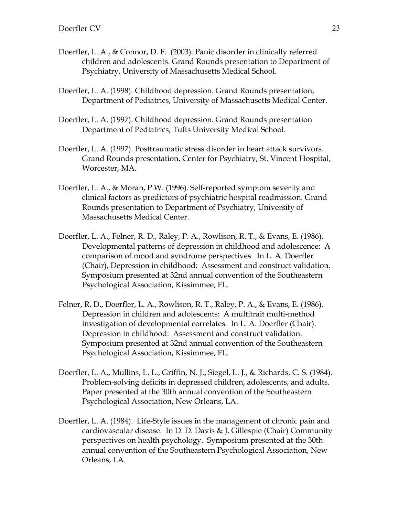- Doerfler, L. A., & Connor, D. F. (2003). Panic disorder in clinically referred children and adolescents. Grand Rounds presentation to Department of Psychiatry, University of Massachusetts Medical School.
- Doerfler, L. A. (1998). Childhood depression. Grand Rounds presentation, Department of Pediatrics, University of Massachusetts Medical Center.
- Doerfler, L. A. (1997). Childhood depression. Grand Rounds presentation Department of Pediatrics, Tufts University Medical School.
- Doerfler, L. A. (1997). Posttraumatic stress disorder in heart attack survivors. Grand Rounds presentation, Center for Psychiatry, St. Vincent Hospital, Worcester, MA.
- Doerfler, L. A., & Moran, P.W. (1996). Self-reported symptom severity and clinical factors as predictors of psychiatric hospital readmission. Grand Rounds presentation to Department of Psychiatry, University of Massachusetts Medical Center.
- Doerfler, L. A., Felner, R. D., Raley, P. A., Rowlison, R. T., & Evans, E. (1986). Developmental patterns of depression in childhood and adolescence: A comparison of mood and syndrome perspectives. In L. A. Doerfler (Chair), Depression in childhood: Assessment and construct validation. Symposium presented at 32nd annual convention of the Southeastern Psychological Association, Kissimmee, FL.
- Felner, R. D., Doerfler, L. A., Rowlison, R. T., Raley, P. A., & Evans, E. (1986). Depression in children and adolescents: A multitrait multi-method investigation of developmental correlates. In L. A. Doerfler (Chair). Depression in childhood: Assessment and construct validation. Symposium presented at 32nd annual convention of the Southeastern Psychological Association, Kissimmee, FL.
- Doerfler, L. A., Mullins, L. L., Griffin, N. J., Siegel, L. J., & Richards, C. S. (1984). Problem-solving deficits in depressed children, adolescents, and adults. Paper presented at the 30th annual convention of the Southeastern Psychological Association, New Orleans, LA.
- Doerfler, L. A. (1984). Life-Style issues in the management of chronic pain and cardiovascular disease. In D. D. Davis & J. Gillespie (Chair) Community perspectives on health psychology. Symposium presented at the 30th annual convention of the Southeastern Psychological Association, New Orleans, LA.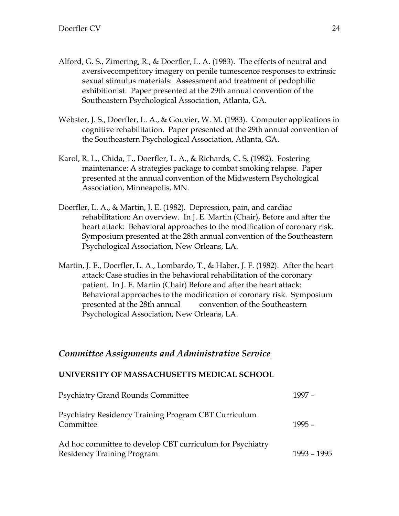- Alford, G. S., Zimering, R., & Doerfler, L. A. (1983). The effects of neutral and aversivecompetitory imagery on penile tumescence responses to extrinsic sexual stimulus materials: Assessment and treatment of pedophilic exhibitionist. Paper presented at the 29th annual convention of the Southeastern Psychological Association, Atlanta, GA.
- Webster, J. S., Doerfler, L. A., & Gouvier, W. M. (1983). Computer applications in cognitive rehabilitation. Paper presented at the 29th annual convention of the Southeastern Psychological Association, Atlanta, GA.
- Karol, R. L., Chida, T., Doerfler, L. A., & Richards, C. S. (1982). Fostering maintenance: A strategies package to combat smoking relapse. Paper presented at the annual convention of the Midwestern Psychological Association, Minneapolis, MN.
- Doerfler, L. A., & Martin, J. E. (1982). Depression, pain, and cardiac rehabilitation: An overview. In J. E. Martin (Chair), Before and after the heart attack: Behavioral approaches to the modification of coronary risk. Symposium presented at the 28th annual convention of the Southeastern Psychological Association, New Orleans, LA.
- Martin, J. E., Doerfler, L. A., Lombardo, T., & Haber, J. F. (1982). After the heart attack:Case studies in the behavioral rehabilitation of the coronary patient. In J. E. Martin (Chair) Before and after the heart attack: Behavioral approaches to the modification of coronary risk. Symposium presented at the 28th annual convention of the Southeastern Psychological Association, New Orleans, LA.

# *Committee Assignments and Administrative Service*

### **UNIVERSITY OF MASSACHUSETTS MEDICAL SCHOOL**

| <b>Psychiatry Grand Rounds Committee</b>                                                | $1997 -$    |
|-----------------------------------------------------------------------------------------|-------------|
| Psychiatry Residency Training Program CBT Curriculum<br>Committee                       | $1995 -$    |
| Ad hoc committee to develop CBT curriculum for Psychiatry<br>Residency Training Program | 1993 - 1995 |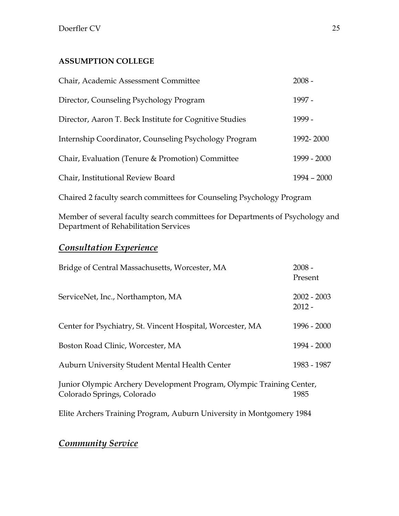### **ASSUMPTION COLLEGE**

| Chair, Academic Assessment Committee                                                                                   | $2008 -$      |
|------------------------------------------------------------------------------------------------------------------------|---------------|
| Director, Counseling Psychology Program                                                                                | 1997 -        |
| Director, Aaron T. Beck Institute for Cognitive Studies                                                                | 1999 -        |
| Internship Coordinator, Counseling Psychology Program                                                                  | 1992-2000     |
| Chair, Evaluation (Tenure & Promotion) Committee                                                                       | 1999 - 2000   |
| Chair, Institutional Review Board                                                                                      | $1994 - 2000$ |
| Chaired 2 faculty search committees for Counseling Psychology Program                                                  |               |
| Member of several faculty search committees for Departments of Psychology and<br>Department of Rehabilitation Services |               |

# *Consultation Experience*

| Bridge of Central Massachusetts, Worcester, MA                                                     | $2008 -$<br>Present       |
|----------------------------------------------------------------------------------------------------|---------------------------|
| ServiceNet, Inc., Northampton, MA                                                                  | $2002 - 2003$<br>$2012 -$ |
| Center for Psychiatry, St. Vincent Hospital, Worcester, MA                                         | 1996 - 2000               |
| Boston Road Clinic, Worcester, MA                                                                  | 1994 - 2000               |
| Auburn University Student Mental Health Center                                                     | 1983 - 1987               |
| Junior Olympic Archery Development Program, Olympic Training Center,<br>Colorado Springs, Colorado | 1985                      |

Elite Archers Training Program, Auburn University in Montgomery 1984

# *Community Service*